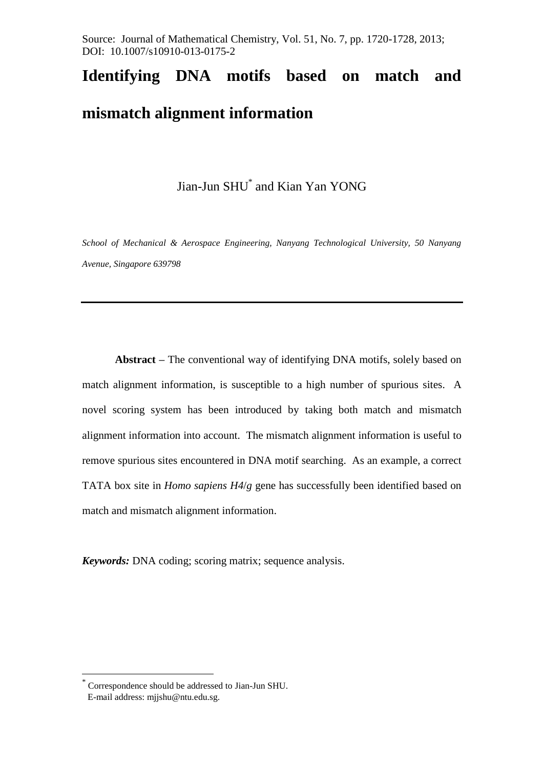Source: Journal of Mathematical Chemistry, Vol. 51, No. 7, pp. 1720-1728, 2013; DOI: 10.1007/s10910-013-0175-2

# **Identifying DNA motifs based on match and**

## **mismatch alignment information**

Jian-Jun SHU\* and Kian Yan YONG

*School of Mechanical & Aerospace Engineering, Nanyang Technological University, 50 Nanyang Avenue, Singapore 639798*

**Abstract –** The conventional way of identifying DNA motifs, solely based on match alignment information, is susceptible to a high number of spurious sites. A novel scoring system has been introduced by taking both match and mismatch alignment information into account. The mismatch alignment information is useful to remove spurious sites encountered in DNA motif searching. As an example, a correct TATA box site in *Homo sapiens H4*/*g* gene has successfully been identified based on match and mismatch alignment information.

*Keywords:* DNA coding; scoring matrix; sequence analysis.

<u>.</u>

<sup>\*</sup> Correspondence should be addressed to Jian-Jun SHU.

E-mail address: mjjshu@ntu.edu.sg.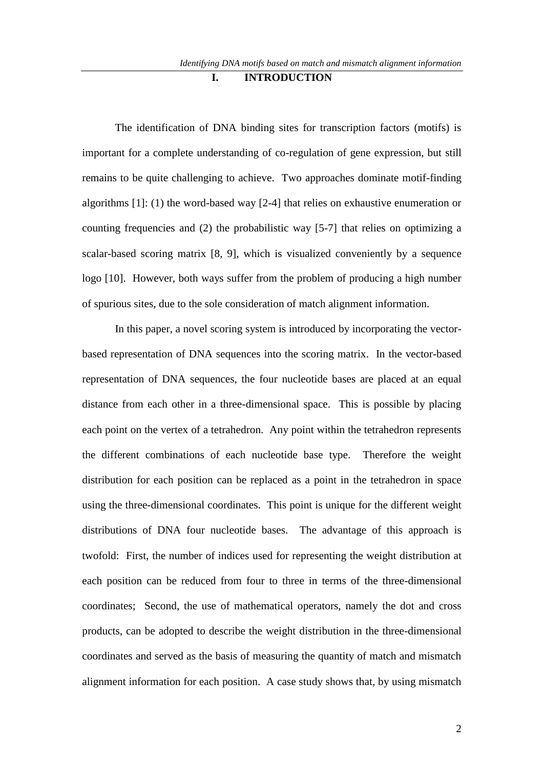### **I. INTRODUCTION**

The identification of DNA binding sites for transcription factors (motifs) is important for a complete understanding of co-regulation of gene expression, but still remains to be quite challenging to achieve. Two approaches dominate motif-finding algorithms [1]: (1) the word-based way [2-4] that relies on exhaustive enumeration or counting frequencies and (2) the probabilistic way [5-7] that relies on optimizing a scalar-based scoring matrix [8, 9], which is visualized conveniently by a sequence logo [10]. However, both ways suffer from the problem of producing a high number of spurious sites, due to the sole consideration of match alignment information.

In this paper, a novel scoring system is introduced by incorporating the vectorbased representation of DNA sequences into the scoring matrix. In the vector-based representation of DNA sequences, the four nucleotide bases are placed at an equal distance from each other in a three-dimensional space. This is possible by placing each point on the vertex of a tetrahedron. Any point within the tetrahedron represents the different combinations of each nucleotide base type. Therefore the weight distribution for each position can be replaced as a point in the tetrahedron in space using the three-dimensional coordinates. This point is unique for the different weight distributions of DNA four nucleotide bases. The advantage of this approach is twofold: First, the number of indices used for representing the weight distribution at each position can be reduced from four to three in terms of the three-dimensional coordinates; Second, the use of mathematical operators, namely the dot and cross products, can be adopted to describe the weight distribution in the three-dimensional coordinates and served as the basis of measuring the quantity of match and mismatch alignment information for each position. A case study shows that, by using mismatch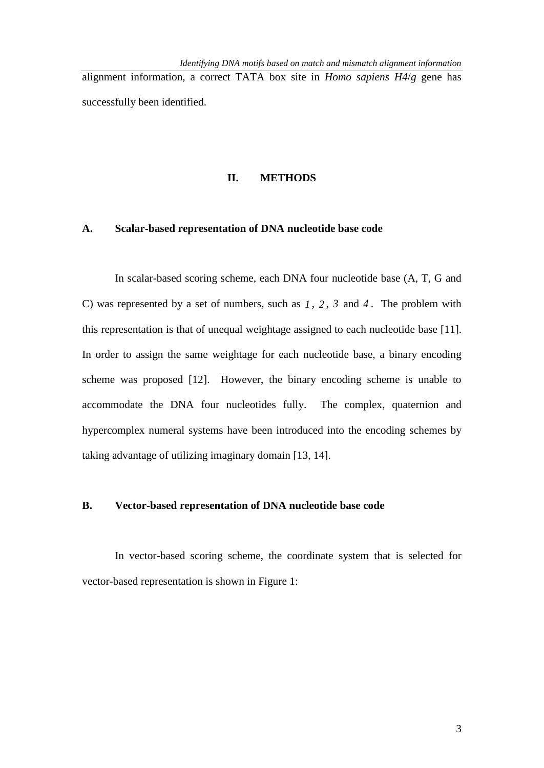alignment information, a correct TATA box site in *Homo sapiens H4*/*g* gene has successfully been identified.

#### **II. METHODS**

#### **A. Scalar-based representation of DNA nucleotide base code**

In scalar-based scoring scheme, each DNA four nucleotide base (A, T, G and C) was represented by a set of numbers, such as  $1, 2, 3$  and  $4$ . The problem with this representation is that of unequal weightage assigned to each nucleotide base [11]. In order to assign the same weightage for each nucleotide base, a binary encoding scheme was proposed [12]. However, the binary encoding scheme is unable to accommodate the DNA four nucleotides fully. The complex, quaternion and hypercomplex numeral systems have been introduced into the encoding schemes by taking advantage of utilizing imaginary domain [13, 14].

#### **B. Vector-based representation of DNA nucleotide base code**

In vector-based scoring scheme, the coordinate system that is selected for vector-based representation is shown in Figure 1: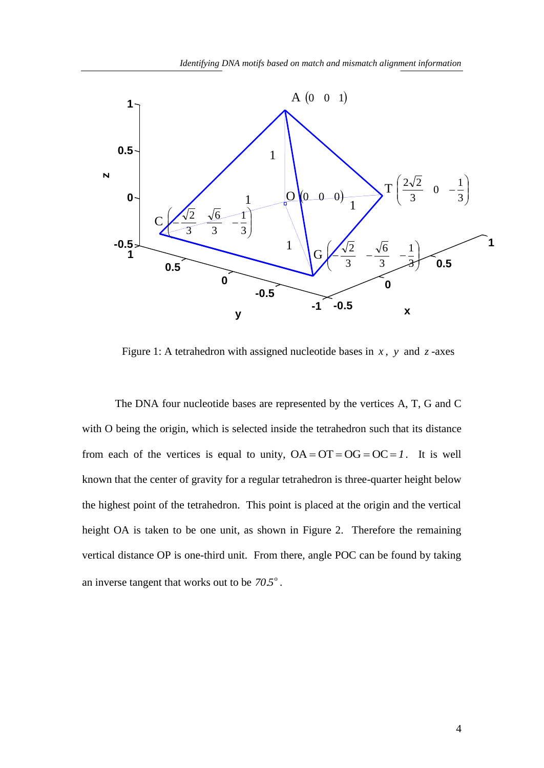

Figure 1: A tetrahedron with assigned nucleotide bases in  $x$ ,  $y$  and  $z$ -axes

The DNA four nucleotide bases are represented by the vertices A, T, G and C with O being the origin, which is selected inside the tetrahedron such that its distance from each of the vertices is equal to unity,  $OA = OT = OG = OC = 1$ . It is well known that the center of gravity for a regular tetrahedron is three-quarter height below the highest point of the tetrahedron. This point is placed at the origin and the vertical height OA is taken to be one unit, as shown in Figure 2. Therefore the remaining vertical distance OP is one-third unit. From there, angle POC can be found by taking an inverse tangent that works out to be  $70.5^{\circ}$ .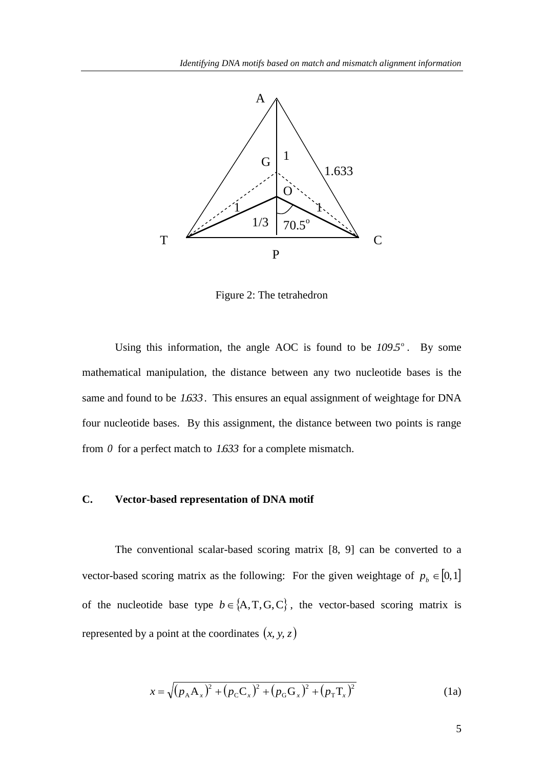

Figure 2: The tetrahedron

Using this information, the angle AOC is found to be  $109.5^\circ$ . By some mathematical manipulation, the distance between any two nucleotide bases is the same and found to be *1.633* . This ensures an equal assignment of weightage for DNA four nucleotide bases. By this assignment, the distance between two points is range from  $\theta$  for a perfect match to  $1.633$  for a complete mismatch.

#### **C. Vector-based representation of DNA motif**

The conventional scalar-based scoring matrix [8, 9] can be converted to a vector-based scoring matrix as the following: For the given weightage of  $p_b \in [0,1]$ of the nucleotide base type  $b \in \{A, T, G, C\}$ , the vector-based scoring matrix is represented by a point at the coordinates  $(x, y, z)$ 

$$
x = \sqrt{(p_{A}A_{x})^{2} + (p_{C}C_{x})^{2} + (p_{G}G_{x})^{2} + (p_{T}T_{x})^{2}}
$$
(1a)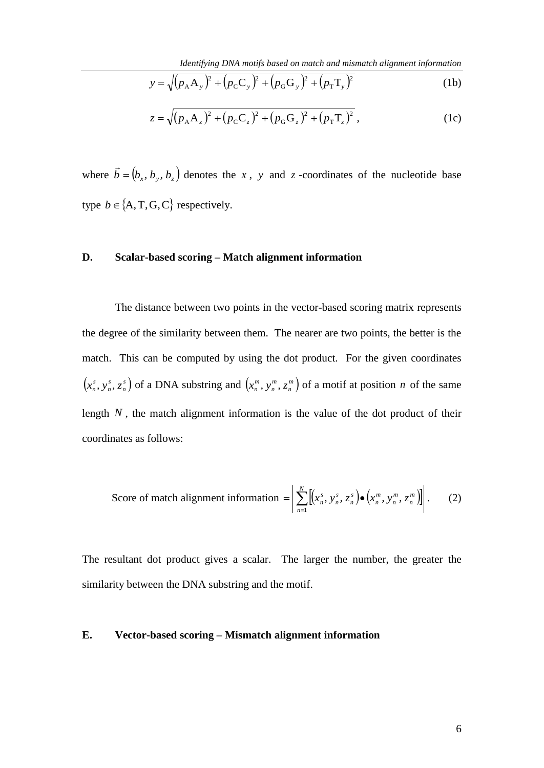*Identifying DNA motifs based on match and mismatch alignment information*

$$
y = \sqrt{(p_A A_y)^2 + (p_C C_y)^2 + (p_G G_y)^2 + (p_T T_y)^2}
$$
 (1b)

$$
z = \sqrt{(p_{A}A_{z})^{2} + (p_{C}C_{z})^{2} + (p_{G}G_{z})^{2} + (p_{T}T_{z})^{2}},
$$
 (1c)

where  $\boldsymbol{b} = (\boldsymbol{b}_x, \boldsymbol{b}_y, \boldsymbol{b}_z)$  $\rightarrow$ denotes the  $x$ ,  $y$  and  $z$  -coordinates of the nucleotide base type  $b \in \{A, T, G, C\}$  respectively.

#### **D. Scalar-based scoring – Match alignment information**

The distance between two points in the vector-based scoring matrix represents the degree of the similarity between them. The nearer are two points, the better is the match. This can be computed by using the dot product. For the given coordinates  $(x_n^s, y_n^s, z_n^s)$ *n s n s*  $(x_n^s, y_n^s, z_n^s)$  of a DNA substring and  $(x_n^m, y_n^m, z_n^m)$ *n m n m*  $\left(x_n^m, y_n^m, z_n^m\right)$  of a motif at position *n* of the same length  $N$ , the match alignment information is the value of the dot product of their coordinates as follows:

Score of match alignment information = 
$$
\left| \sum_{n=1}^{N} \left[ (x_n^s, y_n^s, z_n^s) \bullet (x_n^m, y_n^m, z_n^m) \right] \right|.
$$
 (2)

The resultant dot product gives a scalar. The larger the number, the greater the similarity between the DNA substring and the motif.

#### **E. Vector-based scoring – Mismatch alignment information**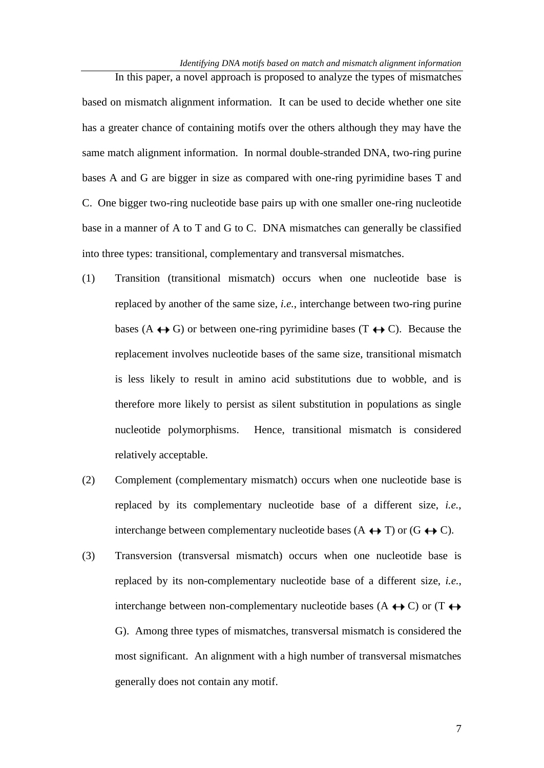In this paper, a novel approach is proposed to analyze the types of mismatches based on mismatch alignment information. It can be used to decide whether one site has a greater chance of containing motifs over the others although they may have the same match alignment information. In normal double-stranded DNA, two-ring purine bases A and G are bigger in size as compared with one-ring pyrimidine bases T and C. One bigger two-ring nucleotide base pairs up with one smaller one-ring nucleotide base in a manner of A to T and G to C. DNA mismatches can generally be classified into three types: transitional, complementary and transversal mismatches.

- (1) Transition (transitional mismatch) occurs when one nucleotide base is replaced by another of the same size, *i.e.*, interchange between two-ring purine bases (A  $\leftrightarrow$  G) or between one-ring pyrimidine bases (T  $\leftrightarrow$  C). Because the replacement involves nucleotide bases of the same size, transitional mismatch is less likely to result in amino acid substitutions due to wobble, and is therefore more likely to persist as silent substitution in populations as single nucleotide polymorphisms. Hence, transitional mismatch is considered relatively acceptable.
- (2) Complement (complementary mismatch) occurs when one nucleotide base is replaced by its complementary nucleotide base of a different size, *i.e.*, interchange between complementary nucleotide bases  $(A \leftrightarrow T)$  or  $(G \leftrightarrow C)$ .
- (3) Transversion (transversal mismatch) occurs when one nucleotide base is replaced by its non-complementary nucleotide base of a different size, *i.e.*, interchange between non-complementary nucleotide bases (A  $\leftrightarrow$  C) or (T  $\leftrightarrow$ G). Among three types of mismatches, transversal mismatch is considered the most significant. An alignment with a high number of transversal mismatches generally does not contain any motif.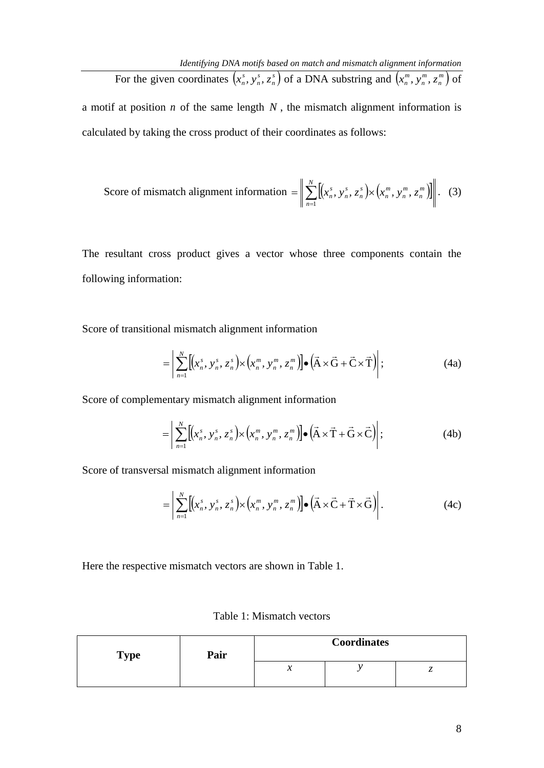For the given coordinates  $(x_n^s, y_n^s, z_n^s)$ *n s n s*  $(x_n^s, y_n^s, z_n^s)$  of a DNA substring and  $(x_n^m, y_n^m, z_n^m)$ *n m n m*  $\left(x_n^m, y_n^m, z_n^m\right)$  of a motif at position  $n$  of the same length  $N$ , the mismatch alignment information is calculated by taking the cross product of their coordinates as follows:

Score of mismatch alignment information 
$$
= \left\| \sum_{n=1}^{N} \left[ \left( x_n^s, y_n^s, z_n^s \right) \times \left( x_n^m, y_n^m, z_n^m \right) \right] \right\|. \quad (3)
$$

The resultant cross product gives a vector whose three components contain the following information:

Score of transitional mismatch alignment information

$$
= \left| \sum_{n=1}^{N} \left[ \left( x_n^s, y_n^s, z_n^s \right) \times \left( x_n^m, y_n^m, z_n^m \right) \right] \bullet \left( \vec{A} \times \vec{G} + \vec{C} \times \vec{T} \right) \right| ; \tag{4a}
$$

Score of complementary mismatch alignment information

$$
= \left| \sum_{n=1}^{N} \left[ \left( x_n^s, y_n^s, z_n^s \right) \times \left( x_n^m, y_n^m, z_n^m \right) \right] \bullet \left( \vec{A} \times \vec{T} + \vec{G} \times \vec{C} \right) \right| ; \tag{4b}
$$

Score of transversal mismatch alignment information

$$
= \left| \sum_{n=1}^{N} \left[ \left( x_n^s, y_n^s, z_n^s \right) \times \left( x_n^m, y_n^m, z_n^m \right) \right] \bullet \left( \vec{A} \times \vec{C} + \vec{T} \times \vec{G} \right) \right|.
$$
 (4c)

Here the respective mismatch vectors are shown in Table 1.

|  |  | Table 1: Mismatch vectors |  |
|--|--|---------------------------|--|
|--|--|---------------------------|--|

| <b>Type</b> | Pair | <b>Coordinates</b>         |  |  |  |
|-------------|------|----------------------------|--|--|--|
|             |      | $\boldsymbol{\mathcal{N}}$ |  |  |  |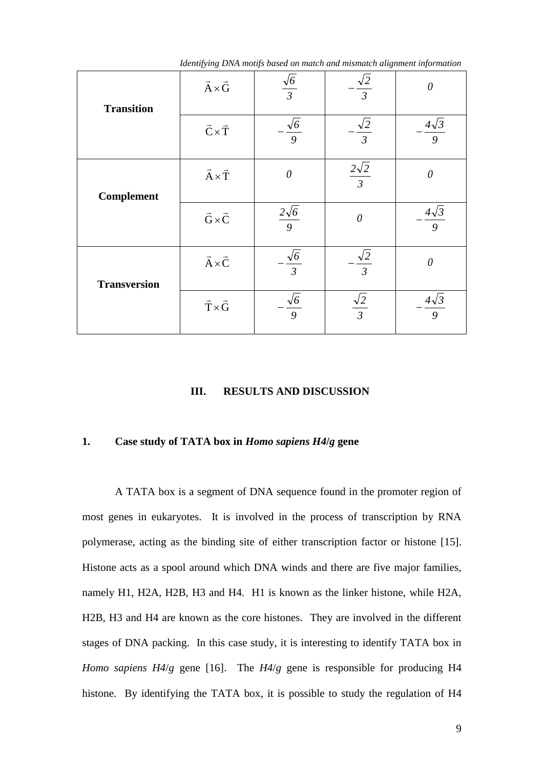| <b>Transition</b>   | $\vec{A} \times \vec{G}$   | $\frac{\sqrt{6}}{3}$  | $\frac{\sqrt{2}}{3}$                    | $\theta$                                |
|---------------------|----------------------------|-----------------------|-----------------------------------------|-----------------------------------------|
|                     | $\vec{C}\!\times\!\vec{T}$ | $\frac{\sqrt{6}}{9}$  | $\sqrt{2}$<br>$\overline{\overline{3}}$ | $4\sqrt{3}$<br>9                        |
| <b>Complement</b>   | $\vec{A}\!\times\!\vec{T}$ | $\theta$              | $\frac{2\sqrt{2}}{3}$                   | $\theta$                                |
|                     | $\vec{G}\!\times\!\vec{C}$ | $\frac{2\sqrt{6}}{9}$ | $\theta$                                | $\frac{4\sqrt{3}}{2}$<br>$\overline{9}$ |
| <b>Transversion</b> | $\vec{A}\!\times\!\vec{C}$ | $\frac{\sqrt{6}}{3}$  | $\sqrt{2}$<br>$\overline{3}$            | $\theta$                                |
|                     | $\vec{T}\!\times\!\vec{G}$ | $\frac{\sqrt{6}}{9}$  | $\frac{\sqrt{2}}{3}$                    | $\frac{4\sqrt{3}}{2}$<br>$\overline{g}$ |

*Identifying DNA motifs based on match and mismatch alignment information*

#### **III. RESULTS AND DISCUSSION**

#### **1. Case study of TATA box in** *Homo sapiens H4***/***g* **gene**

A TATA box is a segment of DNA sequence found in the promoter region of most genes in eukaryotes. It is involved in the process of transcription by RNA polymerase, acting as the binding site of either transcription factor or histone [15]. Histone acts as a spool around which DNA winds and there are five major families, namely H1, H2A, H2B, H3 and H4. H1 is known as the linker histone, while H2A, H2B, H3 and H4 are known as the core histones. They are involved in the different stages of DNA packing. In this case study, it is interesting to identify TATA box in *Homo sapiens H4*/*g* gene [16]. The *H4*/*g* gene is responsible for producing H4 histone. By identifying the TATA box, it is possible to study the regulation of H4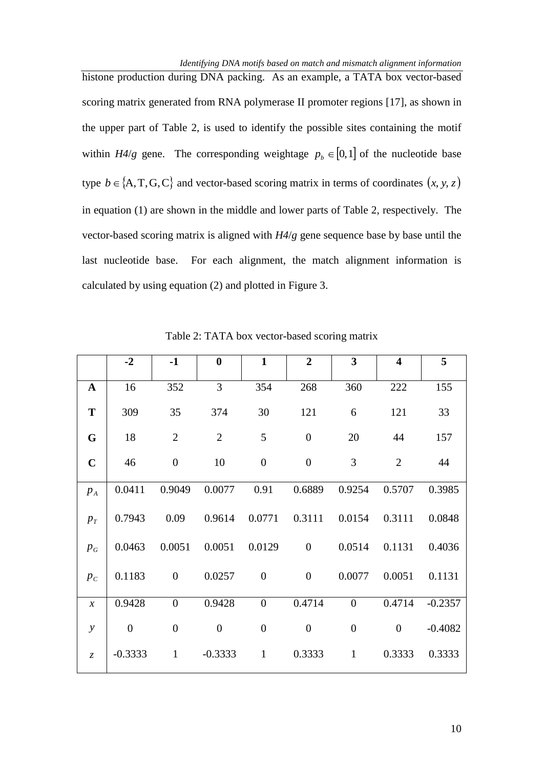histone production during DNA packing. As an example, a TATA box vector-based scoring matrix generated from RNA polymerase II promoter regions [17], as shown in the upper part of Table 2, is used to identify the possible sites containing the motif within  $H4/g$  gene. The corresponding weightage  $p_b \in [0,1]$  of the nucleotide base type  $b \in \{A, T, G, C\}$  and vector-based scoring matrix in terms of coordinates  $(x, y, z)$ in equation (1) are shown in the middle and lower parts of Table 2, respectively. The vector-based scoring matrix is aligned with *H4*/*g* gene sequence base by base until the last nucleotide base. For each alignment, the match alignment information is calculated by using equation (2) and plotted in Figure 3.

|               | $-2$           | $-1$             | $\boldsymbol{0}$ | $\mathbf{1}$     | $\overline{2}$   | $\overline{\mathbf{3}}$ | $\overline{\mathbf{4}}$ | 5         |
|---------------|----------------|------------------|------------------|------------------|------------------|-------------------------|-------------------------|-----------|
| $\mathbf{A}$  | 16             | 352              | 3                | 354              | 268              | 360                     | 222                     | 155       |
| T             | 309            | 35               | 374              | 30               | 121              | 6                       | 121                     | 33        |
| G             | 18             | $\overline{2}$   | $\overline{2}$   | 5                | $\boldsymbol{0}$ | 20                      | 44                      | 157       |
| $\mathbf C$   | 46             | $\boldsymbol{0}$ | 10               | $\boldsymbol{0}$ | $\boldsymbol{0}$ | 3                       | $\overline{2}$          | 44        |
| $p_A$         | 0.0411         | 0.9049           | 0.0077           | 0.91             | 0.6889           | 0.9254                  | 0.5707                  | 0.3985    |
| $p_T$         | 0.7943         | 0.09             | 0.9614           | 0.0771           | 0.3111           | 0.0154                  | 0.3111                  | 0.0848    |
| $p_{G}$       | 0.0463         | 0.0051           | 0.0051           | 0.0129           | $\boldsymbol{0}$ | 0.0514                  | 0.1131                  | 0.4036    |
| $p_c$         | 0.1183         | $\boldsymbol{0}$ | 0.0257           | $\boldsymbol{0}$ | $\boldsymbol{0}$ | 0.0077                  | 0.0051                  | 0.1131    |
| $\mathcal{X}$ | 0.9428         | $\overline{0}$   | 0.9428           | $\overline{0}$   | 0.4714           | $\overline{0}$          | 0.4714                  | $-0.2357$ |
| $\mathcal{Y}$ | $\overline{0}$ | $\overline{0}$   | $\overline{0}$   | $\overline{0}$   | $\boldsymbol{0}$ | $\boldsymbol{0}$        | $\overline{0}$          | $-0.4082$ |
| $\mathcal{Z}$ | $-0.3333$      | $\mathbf{1}$     | $-0.3333$        | $\mathbf{1}$     | 0.3333           | $\mathbf{1}$            | 0.3333                  | 0.3333    |

Table 2: TATA box vector-based scoring matrix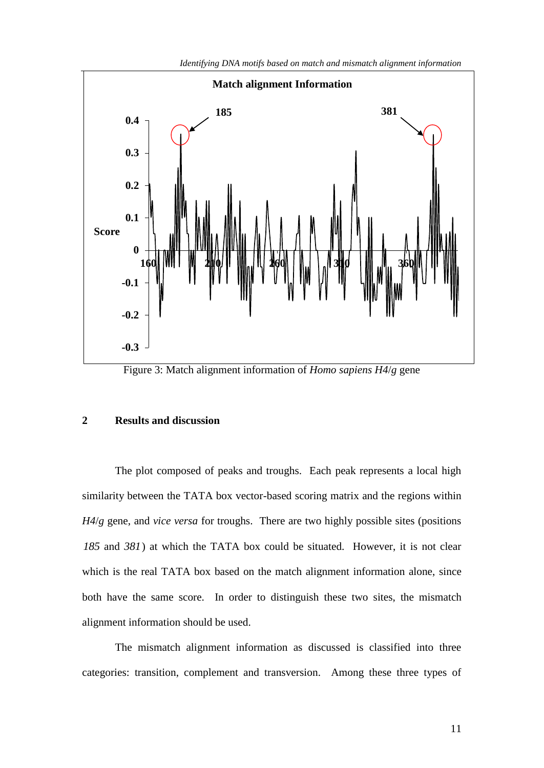

*Identifying DNA motifs based on match and mismatch alignment information*

Figure 3: Match alignment information of *Homo sapiens H4*/*g* gene

#### **2 Results and discussion**

The plot composed of peaks and troughs. Each peak represents a local high similarity between the TATA box vector-based scoring matrix and the regions within *H4*/*g* gene, and *vice versa* for troughs. There are two highly possible sites (positions *185* and *381* ) at which the TATA box could be situated. However, it is not clear which is the real TATA box based on the match alignment information alone, since both have the same score. In order to distinguish these two sites, the mismatch alignment information should be used.

The mismatch alignment information as discussed is classified into three categories: transition, complement and transversion. Among these three types of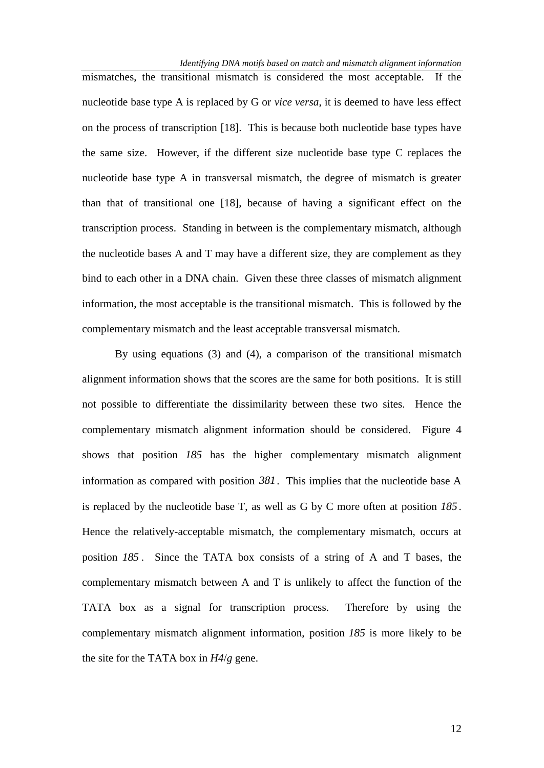*Identifying DNA motifs based on match and mismatch alignment information*

mismatches, the transitional mismatch is considered the most acceptable. If the nucleotide base type A is replaced by G or *vice versa*, it is deemed to have less effect on the process of transcription [18]. This is because both nucleotide base types have the same size. However, if the different size nucleotide base type C replaces the nucleotide base type A in transversal mismatch, the degree of mismatch is greater than that of transitional one [18], because of having a significant effect on the transcription process. Standing in between is the complementary mismatch, although the nucleotide bases A and T may have a different size, they are complement as they bind to each other in a DNA chain. Given these three classes of mismatch alignment information, the most acceptable is the transitional mismatch. This is followed by the complementary mismatch and the least acceptable transversal mismatch.

By using equations (3) and (4), a comparison of the transitional mismatch alignment information shows that the scores are the same for both positions. It is still not possible to differentiate the dissimilarity between these two sites. Hence the complementary mismatch alignment information should be considered. Figure 4 shows that position *185* has the higher complementary mismatch alignment information as compared with position *381* . This implies that the nucleotide base A is replaced by the nucleotide base T, as well as G by C more often at position *185* . Hence the relatively-acceptable mismatch, the complementary mismatch, occurs at position *185* . Since the TATA box consists of a string of A and T bases, the complementary mismatch between A and T is unlikely to affect the function of the TATA box as a signal for transcription process. Therefore by using the complementary mismatch alignment information, position *185* is more likely to be the site for the TATA box in *H4*/*g* gene.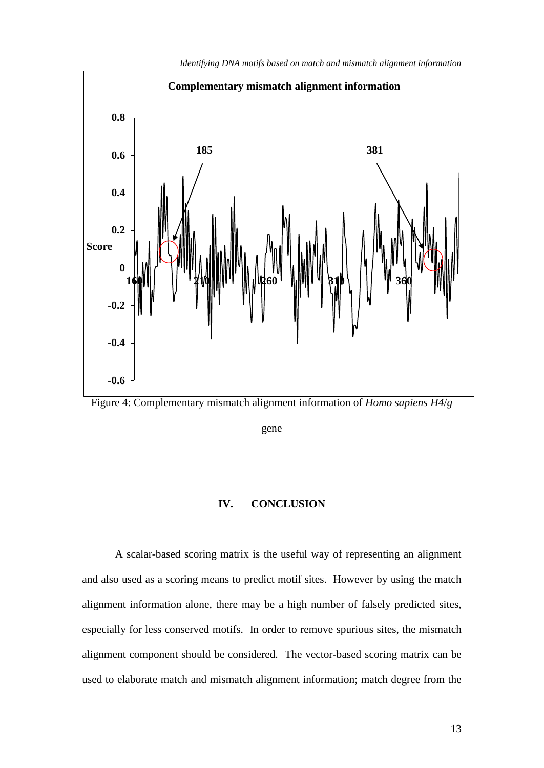

*Identifying DNA motifs based on match and mismatch alignment information*

Figure 4: Complementary mismatch alignment information of *Homo sapiens H4*/*g*

gene

#### **IV. CONCLUSION**

A scalar-based scoring matrix is the useful way of representing an alignment and also used as a scoring means to predict motif sites. However by using the match alignment information alone, there may be a high number of falsely predicted sites, especially for less conserved motifs. In order to remove spurious sites, the mismatch alignment component should be considered. The vector-based scoring matrix can be used to elaborate match and mismatch alignment information; match degree from the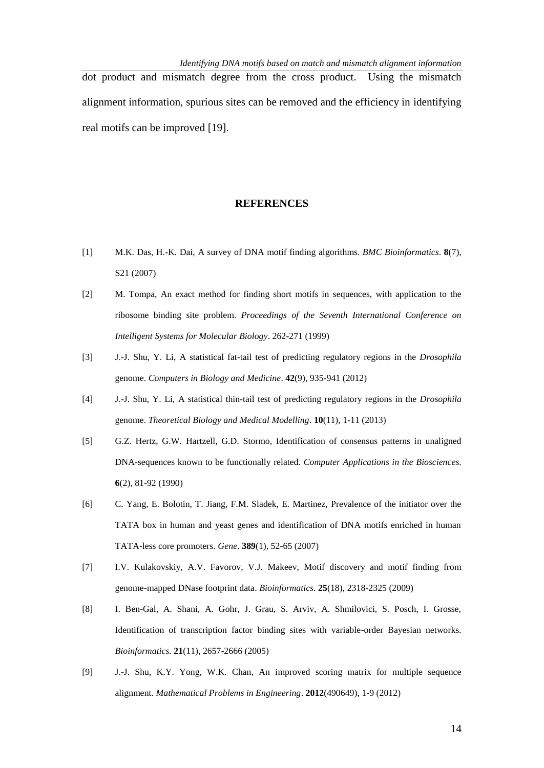dot product and mismatch degree from the cross product. Using the mismatch alignment information, spurious sites can be removed and the efficiency in identifying real motifs can be improved [19].

#### **REFERENCES**

- [1] M.K. Das, H.-K. Dai, A survey of DNA motif finding algorithms. *BMC Bioinformatics*. **8**(7), S21 (2007)
- [2] M. Tompa, An exact method for finding short motifs in sequences, with application to the ribosome binding site problem. *Proceedings of the Seventh International Conference on Intelligent Systems for Molecular Biology*. 262-271 (1999)
- [3] J.-J. Shu, Y. Li, [A statistical fat-tail test of predicting regulatory regions in the](http://www.ntu.edu.sg/home/mjjshu/CBM12.pdf) *Drosophila* [genome.](http://www.ntu.edu.sg/home/mjjshu/CBM12.pdf) *Computers in Biology and Medicine*. **42**(9), 935-941 (2012)
- [4] J.-J. Shu, Y. Li, A statistical thin-tail test of predicting regulatory regions in the *Drosophila* genome. *Theoretical Biology and Medical Modelling*. **10**(11), 1-11 (2013)
- [5] G.Z. Hertz, G.W. Hartzell, G.D. Stormo, Identification of consensus patterns in unaligned DNA-sequences known to be functionally related. *Computer Applications in the Biosciences*. **6**(2), 81-92 (1990)
- [6] C. Yang, E. Bolotin, T. Jiang, F.M. Sladek, E. Martinez, Prevalence of the initiator over the TATA box in human and yeast genes and identification of DNA motifs enriched in human TATA-less core promoters. *Gene*. **389**(1), 52-65 (2007)
- [7] I.V. Kulakovskiy, A.V. Favorov, V.J. Makeev, Motif discovery and motif finding from genome-mapped DNase footprint data. *Bioinformatics*. **25**(18), 2318-2325 (2009)
- [8] I. Ben-Gal, A. Shani, A. Gohr, J. Grau, S. Arviv, A. Shmilovici, S. Posch, I. Grosse, Identification of transcription factor binding sites with variable-order Bayesian networks. *Bioinformatics*. **21**(11), 2657-2666 (2005)
- [9] J.-J. Shu, K.Y. Yong, W.K. Chan, An improved scoring matrix for multiple sequence alignment. *Mathematical Problems in Engineering*. **2012**(490649), 1-9 (2012)